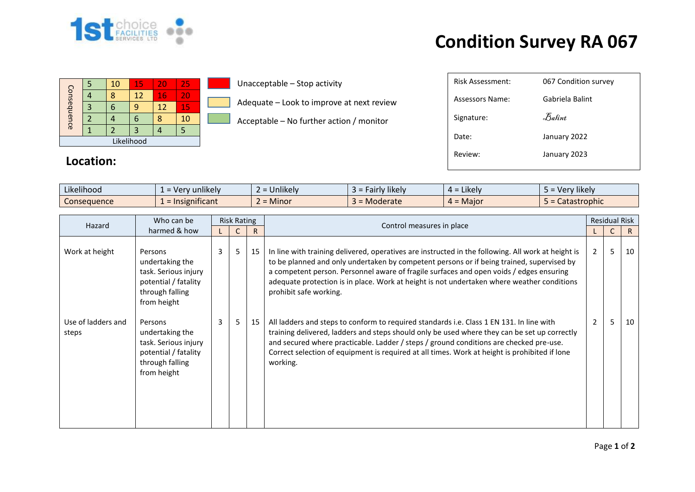

## **Condition Survey RA 067**

| Consequence |  | 10 | 15 | 20 | 25 |  |  |
|-------------|--|----|----|----|----|--|--|
|             |  | Я  | 12 | 16 | 20 |  |  |
|             |  |    |    | 12 | 15 |  |  |
|             |  |    |    |    | 10 |  |  |
|             |  |    |    |    |    |  |  |
| Likelihood  |  |    |    |    |    |  |  |

**Location:**

## Unacceptable – Stop activity

Adequate – Look to improve at next review

Acceptable – No further action / monitor

| <b>Risk Assessment:</b> | 067 Condition survey           |
|-------------------------|--------------------------------|
| Assessors Name:         | Gabriela Balint                |
| Signature:              | $\mathcal{F}_{\mathit{abint}}$ |
| Date:                   | January 2022                   |
| Review:                 | January 2023                   |
|                         |                                |

| $\cdot$ $\cdot$ $\cdot$<br>$\cdots$<br>Likelihood | $\cdots$<br>unlikely<br>$\mathbf{1} \cap \mathbf{r}$<br>$\sim$ | $\cdots$<br><b>Jnlikely</b><br>$-$ | *likely<br>. all<br>$\sim$<br>$\sim$ | $\cdot$ .<br>Likely<br>$\overline{\phantom{0}}$<br>≖ ∸ | Very likely  |
|---------------------------------------------------|----------------------------------------------------------------|------------------------------------|--------------------------------------|--------------------------------------------------------|--------------|
| -<br>Consequence                                  | hificant<br>Insignit                                           | .<br>Minor                         | Moderate<br>$\sim$                   | $4 =$ Maior                                            | Catastrophic |

| Hazard                      | Who can be                                                                                                   | <b>Risk Rating</b> |   |    |                                                                                                                                                                                                                                                                                                                                                                                                                    |                | <b>Residual Risk</b> |    |
|-----------------------------|--------------------------------------------------------------------------------------------------------------|--------------------|---|----|--------------------------------------------------------------------------------------------------------------------------------------------------------------------------------------------------------------------------------------------------------------------------------------------------------------------------------------------------------------------------------------------------------------------|----------------|----------------------|----|
|                             | harmed & how                                                                                                 |                    |   | R  | Control measures in place                                                                                                                                                                                                                                                                                                                                                                                          |                | C                    | R. |
| Work at height              | Persons<br>undertaking the<br>task. Serious injury<br>potential / fatality<br>through falling<br>from height | 3                  | 5 | 15 | In line with training delivered, operatives are instructed in the following. All work at height is<br>to be planned and only undertaken by competent persons or if being trained, supervised by<br>a competent person. Personnel aware of fragile surfaces and open voids / edges ensuring<br>adequate protection is in place. Work at height is not undertaken where weather conditions<br>prohibit safe working. | $\overline{2}$ | 5                    | 10 |
| Use of ladders and<br>steps | Persons<br>undertaking the<br>task. Serious injury<br>potential / fatality<br>through falling<br>from height | 3                  | 5 | 15 | All ladders and steps to conform to required standards i.e. Class 1 EN 131. In line with<br>training delivered, ladders and steps should only be used where they can be set up correctly<br>and secured where practicable. Ladder / steps / ground conditions are checked pre-use.<br>Correct selection of equipment is required at all times. Work at height is prohibited if lone<br>working.                    | $\overline{2}$ | 5                    | 10 |